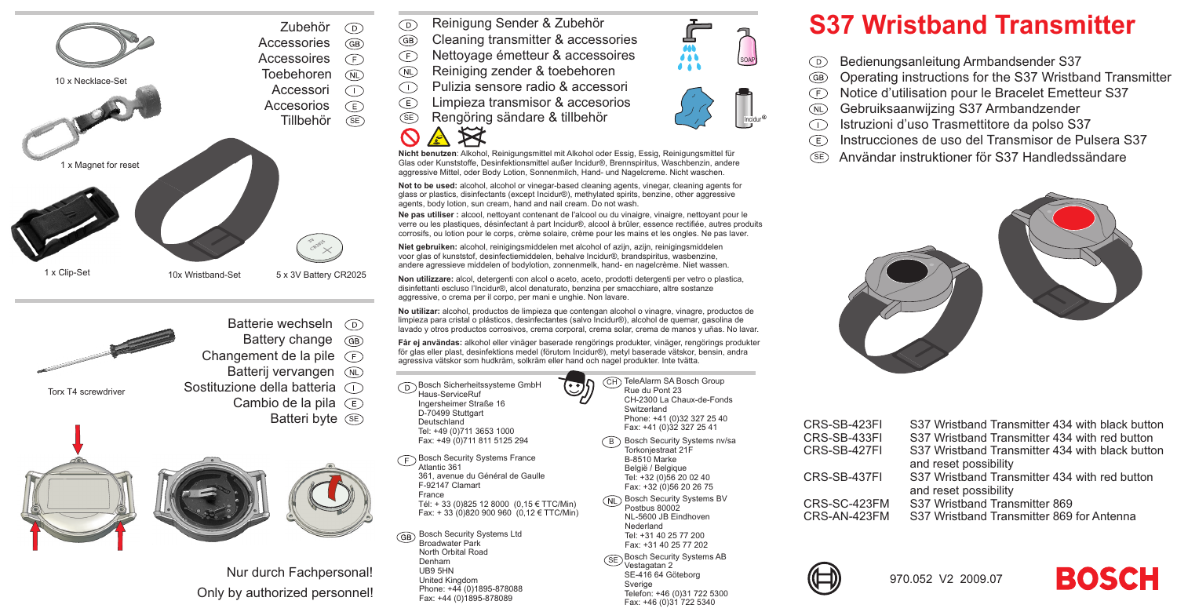





Nur durch Fachpersonal! Only by authorized personnel!

- Reinigung Sender & Zubehör  $\odot$
- $\widehat{GB}$ Cleaning transmitter & accessories
- $(F)$ Nettoyage émetteur & accessoires
- Reiniging zender & toebehoren  $($ NL $)$
- Pulizia sensore radio & accessori  $\bigcap$
- Limpieza transmisor & accesorios  $(E)$
- SERengöring sändare & tillbehör



**Nicht benutzen**: Alkohol, Reinigungsmittel mit Alkohol oder Essig, Essig, Reinigungsmittel für Glas oder Kunststoffe, Desinfektionsmittel außer Incidur®, Brennspiritus, Waschbenzin, andere aggressive Mittel, oder Body Lotion, Sonnenmilch, Hand- und Nagelcreme. Nicht waschen.

**Not to be used:** alcohol, alcohol or vinegar-based cleaning agents, vinegar, cleaning agents for glass or plastics, disinfectants (except Incidur®), methylated spirits, benzine, other aggressive agents, body lotion, sun cream, hand and nail cream. Do not wash.

**Ne pas utiliser :** alcool, nettoyant contenant de l'alcool ou du vinaigre, vinaigre, nettoyant pour le verre ou les plastiques, désinfectant à part Incidur®, alcool à brûler, essence rectifiée, autres produits corrosifs, ou lotion pour le corps, crème solaire, crème pour les mains et les ongles. Ne pas laver.

**Niet gebruiken:** alcohol, reinigingsmiddelen met alcohol of azijn, azijn, reinigingsmiddelen voor glas of kunststof, desinfectiemiddelen, behalve Incidur®, brandspiritus, wasbenzine, andere agressieve middelen of bodylotion, zonnenmelk, hand- en nagelcrème. Niet wassen.

**Non utilizzare:** alcol, detergenti con alcol <sup>o</sup> aceto, aceto, prodotti detergenti per vetro <sup>o</sup> plastica, disinfettanti escluso l'Incidur®, alcol denaturato, benzina per smacchiare, altre sostanze aggressive, <sup>o</sup> crema per il corpo, per mani <sup>e</sup> unghie. Non lavare.

**No utilizar:** alcohol, productos de limpieza que contengan alcohol <sup>o</sup> vinagre, vinagre, productos de limpieza para cristal <sup>o</sup> plásticos, desinfectantes (salvo Incidur®), alcohol de quemar, gasolina de lavado y otros productos corrosivos, crema corporal, crema solar, crema de manos y uñas. No lavar.

**Får ej användas:** alkohol eller vinäger baserade rengörings produkter, vinäger, rengörings produkter för glas eller plast, desinfektions medel (förutom Incidur®), metyl baserade vätskor, bensin, andra agressiva vätskor som hudkräm, solkräm eller hand och nagel produkter. Inte tvätta.

Bosch Sicherheitssysteme GmbH Haus-ServiceRuf Ingersheimer Straße 16 D-70499 Stuttgart

Bosch Security Systems France

Bosch Security Systems Ltd Broadwater Park North Orbital RoadDenham UB9 5HN United Kingdom Phone: +44 (0)1895-878088 Fax: +44 (0)1895-878089

361, avenue du Général de Gaulle

 Tél: <sup>+</sup> 33 (0)825 12 8000 (0,15 € TTC/Min) Fax: <sup>+</sup> 33 (0)820 900 960 (0,12 € TTC/Min)

Atlantic 361

GB

Deutschland Tel: +49 (0)711 3653 1000 Fax: +49 (0)711 811 5125 294

F-92147 Clamart France

 $($ GH $)$  CH-2300 La Chaux-de-FondsSwitzerland

 Phone: +41 (0)32 327 25 40 Fax: +41 (0)32 327 25 41

- <code>B</code>  $\,$  Bosch Security Systems nv/sa Torkonjestraat 21F B-8510 Marke België / Belgique Tel: +32 (0)56 20 02 40
- (NL) Bosch Security Systems BV Postbus 80002 NL-5600 JB EindhovenNederland Tel: +31 40 25 77 200 Fax: +31 40 25 77 202Bosch Security Systems AB **GE** Vestagatan 2 SE-416 64 Göteborg **Sverige** Telefon: +46 (0)31 722 5300

Fax: +46 (0)31 722 5340



- Bedienungsanleitung Armbandsender S37  $\circledcirc$
- $\widehat{GB}$ Operating instructions for the S37 Wristband Transmitter
- Notice d'utilisation pour le Bracelet Emetteur S37  $\sqrt{F}$
- $($ NL $)$ Gebruiksaanwijzing S37 Armbandzender
- Istruzioni d'uso Trasmettitore da polso S37 Œ
- Instrucciones de uso del Transmisor de Pulsera S37Œ
- SEAnvändar instruktioner för S37 Handledssändare



| CRS-SB-423FI | S37 Wristband Transmitter 434 with black button |
|--------------|-------------------------------------------------|
| CRS-SB-433FI | S37 Wristband Transmitter 434 with red button   |
| CRS-SB-427FI | S37 Wristband Transmitter 434 with black button |
|              | and reset possibility                           |
| CRS-SB-437FI | S37 Wristband Transmitter 434 with red button   |
|              | and reset possibility                           |
| CRS-SC-423FM | S37 Wristband Transmitter 869                   |
| CRS-AN-423FM | S37 Wristband Transmitter 869 for Antenna       |
|              |                                                 |





- - - Fax: +32 (0)56 20 26 75



SOAP

Incidur